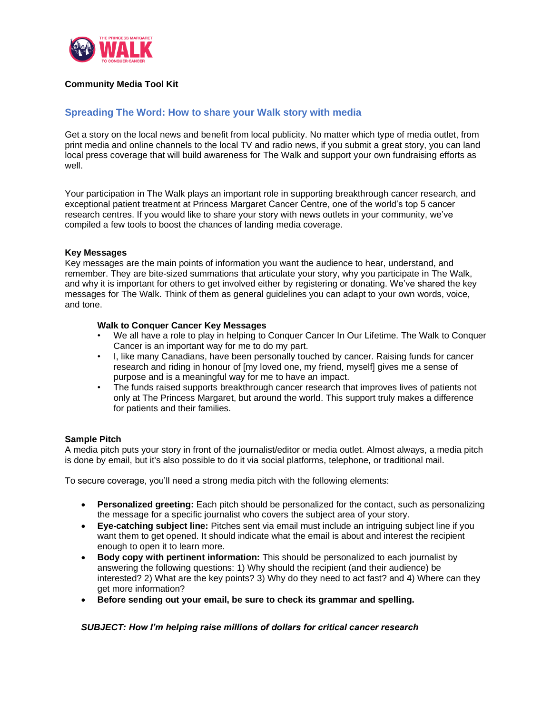

## **Community Media Tool Kit**

## **Spreading The Word: How to share your Walk story with media**

Get a story on the local news and benefit from local publicity. No matter which type of media outlet, from print media and online channels to the local TV and radio news, if you submit a great story, you can land local press coverage that will build awareness for The Walk and support your own fundraising efforts as well.

Your participation in The Walk plays an important role in supporting breakthrough cancer research, and exceptional patient treatment at Princess Margaret Cancer Centre, one of the world's top 5 cancer research centres. If you would like to share your story with news outlets in your community, we've compiled a few tools to boost the chances of landing media coverage.

#### **Key Messages**

Key messages are the main points of information you want the audience to hear, understand, and remember. They are bite-sized summations that articulate your story, why you participate in The Walk, and why it is important for others to get involved either by registering or donating. We've shared the key messages for The Walk. Think of them as general guidelines you can adapt to your own words, voice, and tone.

#### **Walk to Conquer Cancer Key Messages**

- We all have a role to play in helping to Conquer Cancer In Our Lifetime. The Walk to Conquer Cancer is an important way for me to do my part.
- I, like many Canadians, have been personally touched by cancer. Raising funds for cancer research and riding in honour of [my loved one, my friend, myself] gives me a sense of purpose and is a meaningful way for me to have an impact.
- The funds raised supports breakthrough cancer research that improves lives of patients not only at The Princess Margaret, but around the world. This support truly makes a difference for patients and their families.

#### **Sample Pitch**

A media pitch puts your story in front of the journalist/editor or media outlet. Almost always, a media pitch is done by email, but it's also possible to do it via social platforms, telephone, or traditional mail.

To secure coverage, you'll need a strong media pitch with the following elements:

- **Personalized greeting:** Each pitch should be personalized for the contact, such as personalizing the message for a specific journalist who covers the subject area of your story.
- **Eye-catching subject line:** Pitches sent via email must include an intriguing subject line if you want them to get opened. It should indicate what the email is about and interest the recipient enough to open it to learn more.
- **Body copy with pertinent information:** This should be personalized to each journalist by answering the following questions: 1) Why should the recipient (and their audience) be interested? 2) What are the key points? 3) Why do they need to act fast? and 4) Where can they get more information?
- **Before sending out your email, be sure to check its grammar and spelling.**

#### *SUBJECT: How I'm helping raise millions of dollars for critical cancer research*